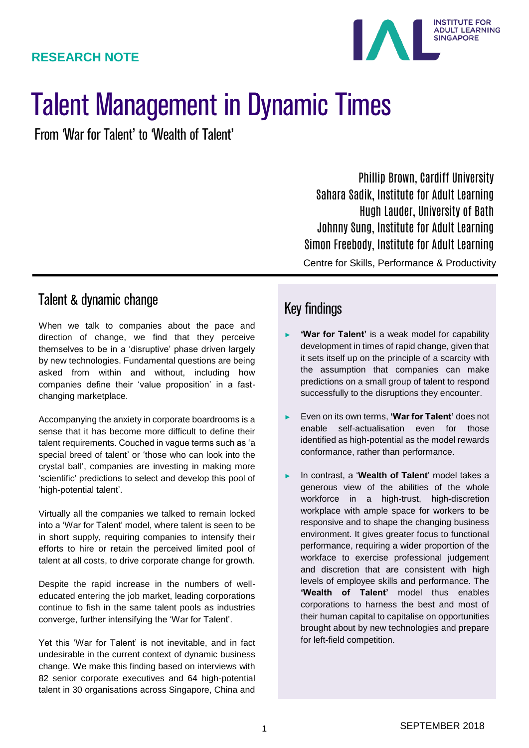

# Talent Management in Dynamic Times

From 'War for Talent' to 'Wealth of Talent'

Phillip Brown, Cardiff University Sahara Sadik, Institute for Adult Learning Hugh Lauder, University of Bath Johnny Sung, Institute for Adult Learning Simon Freebody, Institute for Adult Learning

Centre for Skills, Performance & Productivity

#### Talent & dynamic change

When we talk to companies about the pace and direction of change, we find that they perceive themselves to be in a 'disruptive' phase driven largely by new technologies. Fundamental questions are being asked from within and without, including how companies define their 'value proposition' in a fastchanging marketplace.

Accompanying the anxiety in corporate boardrooms is a sense that it has become more difficult to define their talent requirements. Couched in vague terms such as 'a special breed of talent' or 'those who can look into the crystal ball', companies are investing in making more 'scientific' predictions to select and develop this pool of 'high-potential talent'.

Virtually all the companies we talked to remain locked into a 'War for Talent' model, where talent is seen to be in short supply, requiring companies to intensify their efforts to hire or retain the perceived limited pool of talent at all costs, to drive corporate change for growth.

Despite the rapid increase in the numbers of welleducated entering the job market, leading corporations continue to fish in the same talent pools as industries converge, further intensifying the 'War for Talent'.

Yet this 'War for Talent' is not inevitable, and in fact undesirable in the current context of dynamic business change. We make this finding based on interviews with 82 senior corporate executives and 64 high-potential talent in 30 organisations across Singapore, China and

## Key findings

- 'War for Talent' is a weak model for capability development in times of rapid change, given that it sets itself up on the principle of a scarcity with the assumption that companies can make predictions on a small group of talent to respond successfully to the disruptions they encounter.
- ► Even on its own terms, **'War for Talent'** does not enable self-actualisation even for those identified as high-potential as the model rewards conformance, rather than performance.
- In contrast, a 'Wealth of Talent' model takes a generous view of the abilities of the whole workforce in a high-trust, high-discretion workplace with ample space for workers to be responsive and to shape the changing business environment. It gives greater focus to functional performance, requiring a wider proportion of the workface to exercise professional judgement and discretion that are consistent with high levels of employee skills and performance. The **'Wealth of Talent'** model thus enables corporations to harness the best and most of their human capital to capitalise on opportunities brought about by new technologies and prepare for left-field competition.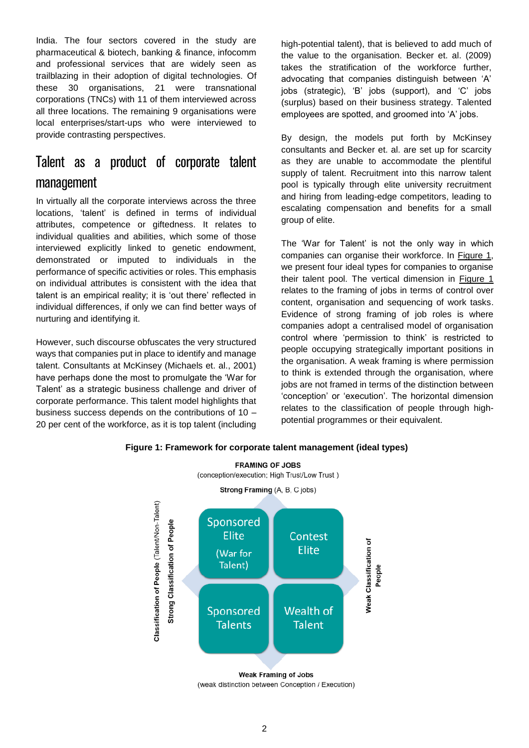India. The four sectors covered in the study are pharmaceutical & biotech, banking & finance, infocomm and professional services that are widely seen as trailblazing in their adoption of digital technologies. Of these 30 organisations, 21 were transnational corporations (TNCs) with 11 of them interviewed across all three locations. The remaining 9 organisations were local enterprises/start-ups who were interviewed to provide contrasting perspectives.

# Talent as a product of corporate talent management

In virtually all the corporate interviews across the three locations, 'talent' is defined in terms of individual attributes, competence or giftedness. It relates to individual qualities and abilities, which some of those interviewed explicitly linked to genetic endowment, demonstrated or imputed to individuals in the performance of specific activities or roles. This emphasis on individual attributes is consistent with the idea that talent is an empirical reality; it is 'out there' reflected in individual differences, if only we can find better ways of nurturing and identifying it.

However, such discourse obfuscates the very structured ways that companies put in place to identify and manage talent. Consultants at McKinsey (Michaels et. al., 2001) have perhaps done the most to promulgate the 'War for Talent' as a strategic business challenge and driver of corporate performance. This talent model highlights that business success depends on the contributions of 10 – 20 per cent of the workforce, as it is top talent (including high-potential talent), that is believed to add much of the value to the organisation. Becker et. al. (2009) takes the stratification of the workforce further, advocating that companies distinguish between 'A' jobs (strategic), 'B' jobs (support), and 'C' jobs (surplus) based on their business strategy. Talented employees are spotted, and groomed into 'A' jobs.

By design, the models put forth by McKinsey consultants and Becker et. al. are set up for scarcity as they are unable to accommodate the plentiful supply of talent. Recruitment into this narrow talent pool is typically through elite university recruitment and hiring from leading-edge competitors, leading to escalating compensation and benefits for a small group of elite.

The 'War for Talent' is not the only way in which companies can organise their workforce. In Figure 1, we present four ideal types for companies to organise their talent pool. The vertical dimension in Figure 1 relates to the framing of jobs in terms of control over content, organisation and sequencing of work tasks. Evidence of strong framing of job roles is where companies adopt a centralised model of organisation control where 'permission to think' is restricted to people occupying strategically important positions in the organisation. A weak framing is where permission to think is extended through the organisation, where jobs are not framed in terms of the distinction between 'conception' or 'execution'. The horizontal dimension relates to the classification of people through highpotential programmes or their equivalent.



#### **Figure 1: Framework for corporate talent management (ideal types)FRAMING OF JOBS**

(conception/execution; High Trust/Low Trust)

<sup>(</sup>weak distinction between Conception / Execution)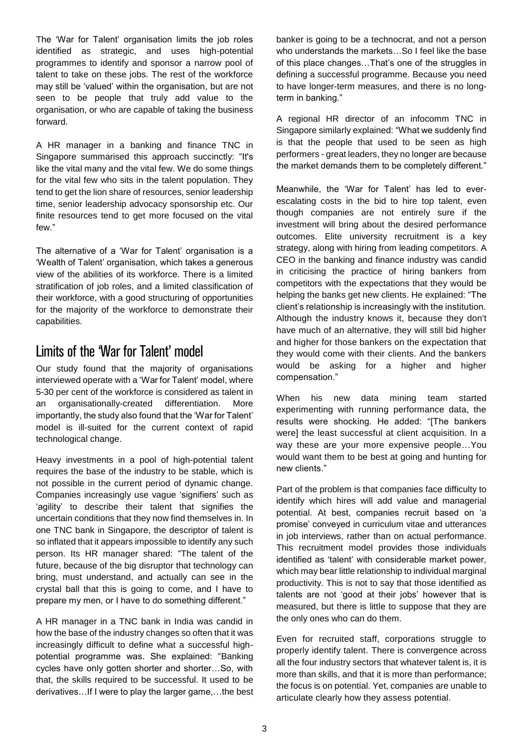The 'War for Talent' organisation limits the job roles identified as strategic, and uses high-potential programmes to identify and sponsor a narrow pool of talent to take on these jobs. The rest of the workforce may still be 'valued' within the organisation, but are not seen to be people that truly add value to the organisation, or who are capable of taking the business forward.

A HR manager in a banking and finance TNC in Singapore summarised this approach succinctly: "It's like the vital many and the vital few. We do some things for the vital few who sits in the talent population. They tend to get the lion share of resources, senior leadership time, senior leadership advocacy sponsorship etc. Our finite resources tend to get more focused on the vital few."

The alternative of a 'War for Talent' organisation is a 'Wealth of Talent' organisation, which takes a generous view of the abilities of its workforce. There is a limited stratification of job roles, and a limited classification of their workforce, with a good structuring of opportunities for the majority of the workforce to demonstrate their capabilities.

#### Limits of the 'War for Talent' model

Our study found that the majority of organisations interviewed operate with a 'War for Talent' model, where 5-30 per cent of the workforce is considered as talent in an organisationally-created differentiation. More importantly, the study also found that the 'War for Talent' model is ill-suited for the current context of rapid technological change.

Heavy investments in a pool of high-potential talent requires the base of the industry to be stable, which is not possible in the current period of dynamic change. Companies increasingly use vague 'signifiers' such as 'agility' to describe their talent that signifies the uncertain conditions that they now find themselves in. In one TNC bank in Singapore, the descriptor of talent is so inflated that it appears impossible to identify any such person. Its HR manager shared: "The talent of the future, because of the big disruptor that technology can bring, must understand, and actually can see in the crystal ball that this is going to come, and I have to prepare my men, or I have to do something different."

A HR manager in a TNC bank in India was candid in how the base of the industry changes so often that it was increasingly difficult to define what a successful highpotential programme was. She explained: "Banking cycles have only gotten shorter and shorter…So, with that, the skills required to be successful. It used to be derivatives…If I were to play the larger game,…the best

banker is going to be a technocrat, and not a person who understands the markets…So I feel like the base of this place changes…That's one of the struggles in defining a successful programme. Because you need to have longer-term measures, and there is no longterm in banking."

A regional HR director of an infocomm TNC in Singapore similarly explained: "What we suddenly find is that the people that used to be seen as high performers - great leaders, they no longer are because the market demands them to be completely different."

Meanwhile, the 'War for Talent' has led to everescalating costs in the bid to hire top talent, even though companies are not entirely sure if the investment will bring about the desired performance outcomes. Elite university recruitment is a key strategy, along with hiring from leading competitors. A CEO in the banking and finance industry was candid in criticising the practice of hiring bankers from competitors with the expectations that they would be helping the banks get new clients. He explained: "The client's relationship is increasingly with the institution. Although the industry knows it, because they don't have much of an alternative, they will still bid higher and higher for those bankers on the expectation that they would come with their clients. And the bankers would be asking for a higher and higher compensation."

When his new data mining team started experimenting with running performance data, the results were shocking. He added: "[The bankers were] the least successful at client acquisition. In a way these are your more expensive people…You would want them to be best at going and hunting for new clients."

Part of the problem is that companies face difficulty to identify which hires will add value and managerial potential. At best, companies recruit based on 'a promise' conveyed in curriculum vitae and utterances in job interviews, rather than on actual performance. This recruitment model provides those individuals identified as 'talent' with considerable market power, which may bear little relationship to individual marginal productivity. This is not to say that those identified as talents are not 'good at their jobs' however that is measured, but there is little to suppose that they are the only ones who can do them.

Even for recruited staff, corporations struggle to properly identify talent. There is convergence across all the four industry sectors that whatever talent is, it is more than skills, and that it is more than performance; the focus is on potential. Yet, companies are unable to articulate clearly how they assess potential.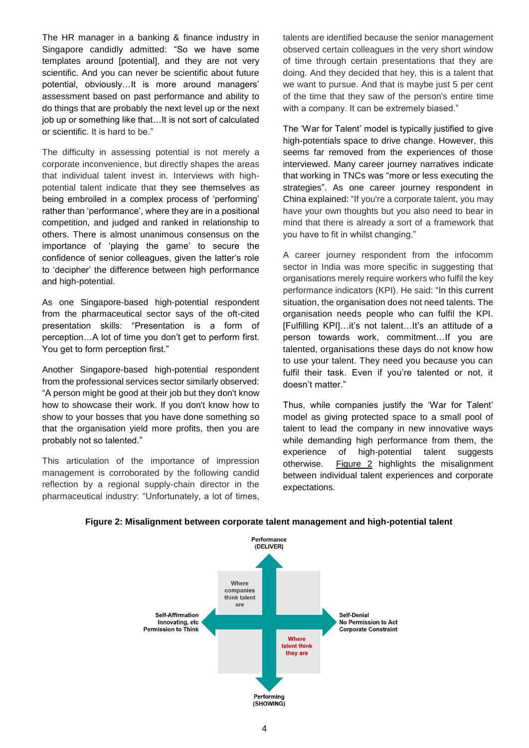The HR manager in a banking & finance industry in Singapore candidly admitted: "So we have some templates around [potential], and they are not very scientific. And you can never be scientific about future potential, obviously…It is more around managers' assessment based on past performance and ability to do things that are probably the next level up or the next job up or something like that…It is not sort of calculated or scientific. It is hard to be."

The difficulty in assessing potential is not merely a corporate inconvenience, but directly shapes the areas that individual talent invest in. Interviews with highpotential talent indicate that they see themselves as being embroiled in a complex process of 'performing' rather than 'performance', where they are in a positional competition, and judged and ranked in relationship to others. There is almost unanimous consensus on the importance of 'playing the game' to secure the confidence of senior colleagues, given the latter's role to 'decipher' the difference between high performance and high-potential.

As one Singapore-based high-potential respondent from the pharmaceutical sector says of the oft-cited presentation skills: "Presentation is a form of perception…A lot of time you don't get to perform first. You get to form perception first."

Another Singapore-based high-potential respondent from the professional services sector similarly observed: "A person might be good at their job but they don't know how to showcase their work. If you don't know how to show to your bosses that you have done something so that the organisation yield more profits, then you are probably not so talented."

This articulation of the importance of impression management is corroborated by the following candid reflection by a regional supply-chain director in the pharmaceutical industry: "Unfortunately, a lot of times,

talents are identified because the senior management observed certain colleagues in the very short window of time through certain presentations that they are doing. And they decided that hey, this is a talent that we want to pursue. And that is maybe just 5 per cent of the time that they saw of the person's entire time with a company. It can be extremely biased."

The 'War for Talent' model is typically justified to give high-potentials space to drive change. However, this seems far removed from the experiences of those interviewed. Many career journey narratives indicate that working in TNCs was "more or less executing the strategies". As one career journey respondent in China explained: "If you're a corporate talent, you may have your own thoughts but you also need to bear in mind that there is already a sort of a framework that you have to fit in whilst changing."

A career journey respondent from the infocomm sector in India was more specific in suggesting that organisations merely require workers who fulfil the key performance indicators (KPI). He said: "In this current situation, the organisation does not need talents. The organisation needs people who can fulfil the KPI. [Fulfilling KPI]…it's not talent…It's an attitude of a person towards work, commitment…If you are talented, organisations these days do not know how to use your talent. They need you because you can fulfil their task. Even if you're talented or not, it doesn't matter."

Thus, while companies justify the 'War for Talent' model as giving protected space to a small pool of talent to lead the company in new innovative ways while demanding high performance from them, the experience of high-potential talent suggests otherwise. Figure 2 highlights the misalignment between individual talent experiences and corporate expectations.



#### **Figure 2: Misalignment between corporate talent management and high-potential talent**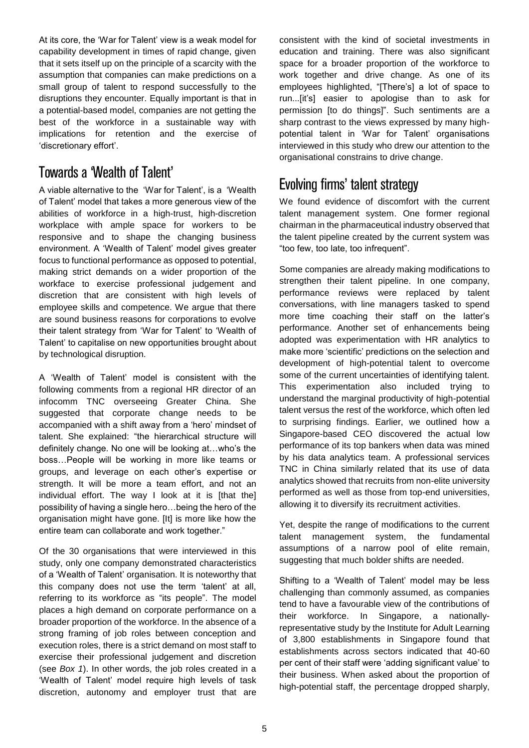At its core, the 'War for Talent' view is a weak model for capability development in times of rapid change, given that it sets itself up on the principle of a scarcity with the assumption that companies can make predictions on a small group of talent to respond successfully to the disruptions they encounter. Equally important is that in a potential-based model, companies are not getting the best of the workforce in a sustainable way with implications for retention and the exercise of 'discretionary effort'.

### Towards a 'Wealth of Talent'

A viable alternative to the 'War for Talent', is a 'Wealth of Talent' model that takes a more generous view of the abilities of workforce in a high-trust, high-discretion workplace with ample space for workers to be responsive and to shape the changing business environment. A 'Wealth of Talent' model gives greater focus to functional performance as opposed to potential, making strict demands on a wider proportion of the workface to exercise professional judgement and discretion that are consistent with high levels of employee skills and competence. We argue that there are sound business reasons for corporations to evolve their talent strategy from 'War for Talent' to 'Wealth of Talent' to capitalise on new opportunities brought about by technological disruption.

A 'Wealth of Talent' model is consistent with the following comments from a regional HR director of an infocomm TNC overseeing Greater China. She suggested that corporate change needs to be accompanied with a shift away from a 'hero' mindset of talent. She explained: "the hierarchical structure will definitely change. No one will be looking at…who's the boss…People will be working in more like teams or groups, and leverage on each other's expertise or strength. It will be more a team effort, and not an individual effort. The way I look at it is [that the] possibility of having a single hero…being the hero of the organisation might have gone. [It] is more like how the entire team can collaborate and work together."

Of the 30 organisations that were interviewed in this study, only one company demonstrated characteristics of a 'Wealth of Talent' organisation. It is noteworthy that this company does not use the term 'talent' at all, referring to its workforce as "its people". The model places a high demand on corporate performance on a broader proportion of the workforce. In the absence of a strong framing of job roles between conception and execution roles, there is a strict demand on most staff to exercise their professional judgement and discretion (see *Box 1*). In other words, the job roles created in a 'Wealth of Talent' model require high levels of task discretion, autonomy and employer trust that are

consistent with the kind of societal investments in education and training. There was also significant space for a broader proportion of the workforce to work together and drive change. As one of its employees highlighted, "[There's] a lot of space to run...[it's] easier to apologise than to ask for permission [to do things]". Such sentiments are a sharp contrast to the views expressed by many highpotential talent in 'War for Talent' organisations interviewed in this study who drew our attention to the organisational constrains to drive change.

## Evolving firms' talent strategy

We found evidence of discomfort with the current talent management system. One former regional chairman in the pharmaceutical industry observed that the talent pipeline created by the current system was "too few, too late, too infrequent".

Some companies are already making modifications to strengthen their talent pipeline. In one company, performance reviews were replaced by talent conversations, with line managers tasked to spend more time coaching their staff on the latter's performance. Another set of enhancements being adopted was experimentation with HR analytics to make more 'scientific' predictions on the selection and development of high-potential talent to overcome some of the current uncertainties of identifying talent. This experimentation also included trying to understand the marginal productivity of high-potential talent versus the rest of the workforce, which often led to surprising findings. Earlier, we outlined how a Singapore-based CEO discovered the actual low performance of its top bankers when data was mined by his data analytics team. A professional services TNC in China similarly related that its use of data analytics showed that recruits from non-elite university performed as well as those from top-end universities, allowing it to diversify its recruitment activities.

Yet, despite the range of modifications to the current talent management system, the fundamental assumptions of a narrow pool of elite remain, suggesting that much bolder shifts are needed.

Shifting to a 'Wealth of Talent' model may be less challenging than commonly assumed, as companies tend to have a favourable view of the contributions of their workforce. In Singapore, a nationallyrepresentative study by the Institute for Adult Learning of 3,800 establishments in Singapore found that establishments across sectors indicated that 40-60 per cent of their staff were 'adding significant value' to their business. When asked about the proportion of high-potential staff, the percentage dropped sharply,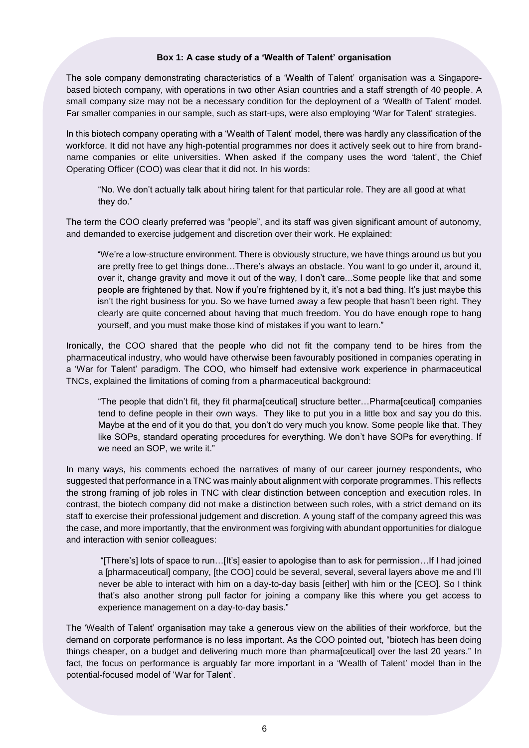#### **Box 1: A case study of a 'Wealth of Talent' organisation**

The sole company demonstrating characteristics of a 'Wealth of Talent' organisation was a Singaporebased biotech company, with operations in two other Asian countries and a staff strength of 40 people. A small company size may not be a necessary condition for the deployment of a 'Wealth of Talent' model. Far smaller companies in our sample, such as start-ups, were also employing 'War for Talent' strategies.

In this biotech company operating with a 'Wealth of Talent' model, there was hardly any classification of the workforce. It did not have any high-potential programmes nor does it actively seek out to hire from brandname companies or elite universities. When asked if the company uses the word 'talent', the Chief Operating Officer (COO) was clear that it did not. In his words:

"No. We don't actually talk about hiring talent for that particular role. They are all good at what they do."

The term the COO clearly preferred was "people", and its staff was given significant amount of autonomy, and demanded to exercise judgement and discretion over their work. He explained:

"We're a low-structure environment. There is obviously structure, we have things around us but you are pretty free to get things done…There's always an obstacle. You want to go under it, around it, over it, change gravity and move it out of the way, I don't care...Some people like that and some people are frightened by that. Now if you're frightened by it, it's not a bad thing. It's just maybe this isn't the right business for you. So we have turned away a few people that hasn't been right. They clearly are quite concerned about having that much freedom. You do have enough rope to hang yourself, and you must make those kind of mistakes if you want to learn."

Ironically, the COO shared that the people who did not fit the company tend to be hires from the pharmaceutical industry, who would have otherwise been favourably positioned in companies operating in a 'War for Talent' paradigm. The COO, who himself had extensive work experience in pharmaceutical TNCs, explained the limitations of coming from a pharmaceutical background:

"The people that didn't fit, they fit pharma[ceutical] structure better…Pharma[ceutical] companies tend to define people in their own ways. They like to put you in a little box and say you do this. Maybe at the end of it you do that, you don't do very much you know. Some people like that. They like SOPs, standard operating procedures for everything. We don't have SOPs for everything. If we need an SOP, we write it."

In many ways, his comments echoed the narratives of many of our career journey respondents, who suggested that performance in a TNC was mainly about alignment with corporate programmes. This reflects the strong framing of job roles in TNC with clear distinction between conception and execution roles. In contrast, the biotech company did not make a distinction between such roles, with a strict demand on its staff to exercise their professional judgement and discretion. A young staff of the company agreed this was the case, and more importantly, that the environment was forgiving with abundant opportunities for dialogue and interaction with senior colleagues:

"[There's] lots of space to run…[It's] easier to apologise than to ask for permission…If I had joined a [pharmaceutical] company, [the COO] could be several, several, several layers above me and I'll never be able to interact with him on a day-to-day basis [either] with him or the [CEO]. So I think that's also another strong pull factor for joining a company like this where you get access to experience management on a day-to-day basis."

The 'Wealth of Talent' organisation may take a generous view on the abilities of their workforce, but the demand on corporate performance is no less important. As the COO pointed out, "biotech has been doing things cheaper, on a budget and delivering much more than pharma[ceutical] over the last 20 years." In fact, the focus on performance is arguably far more important in a 'Wealth of Talent' model than in the potential-focused model of 'War for Talent'.